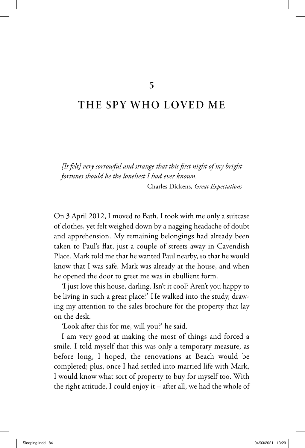**5**

## **THE SPY WHO LOVED ME**

[It felt] very sorrowful and strange that this first night of my bright *fortunes should be the loneliest I had ever known.* Charles Dickens*, Great Expectations*

On 3 April 2012, I moved to Bath. I took with me only a suitcase of clothes, yet felt weighed down by a nagging headache of doubt and apprehension. My remaining belongings had already been taken to Paul's flat, just a couple of streets away in Cavendish Place. Mark told me that he wanted Paul nearby, so that he would know that I was safe. Mark was already at the house, and when he opened the door to greet me was in ebullient form.

'I just love this house, darling. Isn't it cool? Aren't you happy to be living in such a great place?' He walked into the study, drawing my attention to the sales brochure for the property that lay on the desk.

'Look after this for me, will you?' he said.

I am very good at making the most of things and forced a smile. I told myself that this was only a temporary measure, as before long, I hoped, the renovations at Beach would be completed; plus, once I had settled into married life with Mark, I would know what sort of property to buy for myself too. With the right attitude, I could enjoy it – after all, we had the whole of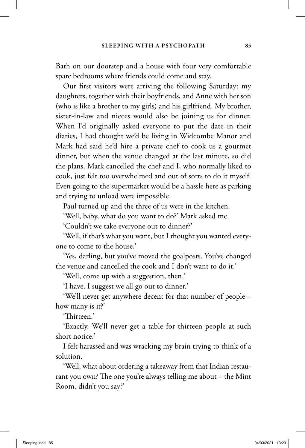Bath on our doorstep and a house with four very comfortable spare bedrooms where friends could come and stay.

Our first visitors were arriving the following Saturday: my daughters, together with their boyfriends, and Anne with her son (who is like a brother to my girls) and his girlfriend. My brother, sister-in-law and nieces would also be joining us for dinner. When I'd originally asked everyone to put the date in their diaries, I had thought we'd be living in Widcombe Manor and Mark had said he'd hire a private chef to cook us a gourmet dinner, but when the venue changed at the last minute, so did the plans. Mark cancelled the chef and I, who normally liked to cook, just felt too overwhelmed and out of sorts to do it myself. Even going to the supermarket would be a hassle here as parking and trying to unload were impossible.

Paul turned up and the three of us were in the kitchen.

'Well, baby, what do you want to do?' Mark asked me.

'Couldn't we take everyone out to dinner?'

'Well, if that's what you want, but I thought you wanted everyone to come to the house.'

'Yes, darling, but you've moved the goalposts. You've changed the venue and cancelled the cook and I don't want to do it.'

'Well, come up with a suggestion, then.'

'I have. I suggest we all go out to dinner.'

'We'll never get anywhere decent for that number of people – how many is it?'

'Th irteen.'

'Exactly. We'll never get a table for thirteen people at such short notice.'

I felt harassed and was wracking my brain trying to think of a solution.

'Well, what about ordering a takeaway from that Indian restaurant you own? The one you're always telling me about  $-$  the Mint Room, didn't you say?'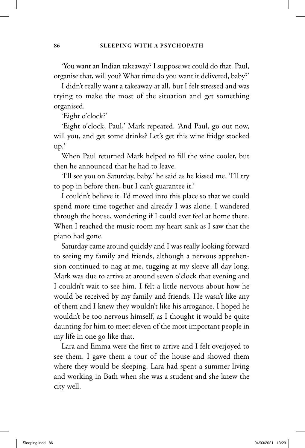'You want an Indian takeaway? I suppose we could do that. Paul, organise that, will you? What time do you want it delivered, baby?'

I didn't really want a takeaway at all, but I felt stressed and was trying to make the most of the situation and get something organised.

'Eight o'clock?'

'Eight o'clock, Paul,' Mark repeated. 'And Paul, go out now, will you, and get some drinks? Let's get this wine fridge stocked up.'

When Paul returned Mark helped to fill the wine cooler, but then he announced that he had to leave.

'I'll see you on Saturday, baby,' he said as he kissed me. 'I'll try to pop in before then, but I can't guarantee it.'

I couldn't believe it. I'd moved into this place so that we could spend more time together and already I was alone. I wandered through the house, wondering if I could ever feel at home there. When I reached the music room my heart sank as I saw that the piano had gone.

Saturday came around quickly and I was really looking forward to seeing my family and friends, although a nervous apprehension continued to nag at me, tugging at my sleeve all day long. Mark was due to arrive at around seven o'clock that evening and I couldn't wait to see him. I felt a little nervous about how he would be received by my family and friends. He wasn't like any of them and I knew they wouldn't like his arrogance. I hoped he wouldn't be too nervous himself, as I thought it would be quite daunting for him to meet eleven of the most important people in my life in one go like that.

Lara and Emma were the first to arrive and I felt overjoyed to see them. I gave them a tour of the house and showed them where they would be sleeping. Lara had spent a summer living and working in Bath when she was a student and she knew the city well.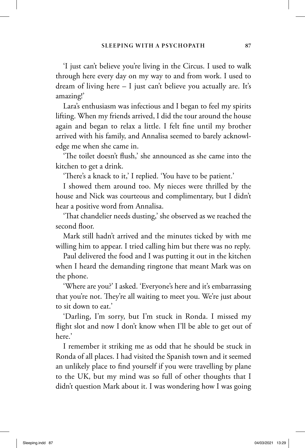'I just can't believe you're living in the Circus. I used to walk through here every day on my way to and from work. I used to dream of living here  $-1$  just can't believe you actually are. It's amazing!'

Lara's enthusiasm was infectious and I began to feel my spirits lifting. When my friends arrived, I did the tour around the house again and began to relax a little. I felt fine until my brother arrived with his family, and Annalisa seemed to barely acknowledge me when she came in.

'The toilet doesn't flush,' she announced as she came into the kitchen to get a drink.

'There's a knack to it,' I replied. 'You have to be patient.'

I showed them around too. My nieces were thrilled by the house and Nick was courteous and complimentary, but I didn't hear a positive word from Annalisa.

'That chandelier needs dusting,' she observed as we reached the second floor.

Mark still hadn't arrived and the minutes ticked by with me willing him to appear. I tried calling him but there was no reply.

Paul delivered the food and I was putting it out in the kitchen when I heard the demanding ringtone that meant Mark was on the phone.

'Where are you?' I asked. 'Everyone's here and it's embarrassing that you're not. They're all waiting to meet you. We're just about to sit down to eat.'

'Darling, I'm sorry, but I'm stuck in Ronda. I missed my flight slot and now I don't know when I'll be able to get out of here.'

I remember it striking me as odd that he should be stuck in Ronda of all places. I had visited the Spanish town and it seemed an unlikely place to find yourself if you were travelling by plane to the UK, but my mind was so full of other thoughts that I didn't question Mark about it. I was wondering how I was going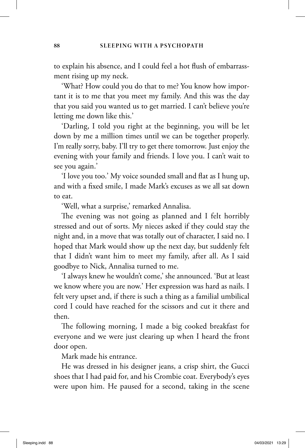to explain his absence, and I could feel a hot flush of embarrassment rising up my neck.

'What? How could you do that to me? You know how important it is to me that you meet my family. And this was the day that you said you wanted us to get married. I can't believe you're letting me down like this.'

'Darling, I told you right at the beginning, you will be let down by me a million times until we can be together properly. I'm really sorry, baby. I'll try to get there tomorrow. Just enjoy the evening with your family and friends. I love you. I can't wait to see you again.'

'I love you too.' My voice sounded small and flat as I hung up, and with a fixed smile, I made Mark's excuses as we all sat down to eat.

'Well, what a surprise,' remarked Annalisa.

The evening was not going as planned and I felt horribly stressed and out of sorts. My nieces asked if they could stay the night and, in a move that was totally out of character, I said no. I hoped that Mark would show up the next day, but suddenly felt that I didn't want him to meet my family, after all. As I said goodbye to Nick, Annalisa turned to me.

'I always knew he wouldn't come,' she announced. 'But at least we know where you are now.' Her expression was hard as nails. I felt very upset and, if there is such a thing as a familial umbilical cord I could have reached for the scissors and cut it there and then.

The following morning, I made a big cooked breakfast for everyone and we were just clearing up when I heard the front door open.

Mark made his entrance.

He was dressed in his designer jeans, a crisp shirt, the Gucci shoes that I had paid for, and his Crombie coat. Everybody's eyes were upon him. He paused for a second, taking in the scene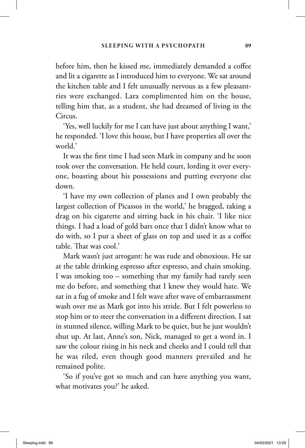before him, then he kissed me, immediately demanded a coffee and lit a cigarette as I introduced him to everyone. We sat around the kitchen table and I felt unusually nervous as a few pleasantries were exchanged. Lara complimented him on the house, telling him that, as a student, she had dreamed of living in the Circus.

'Yes, well luckily for me I can have just about anything I want,' he responded. 'I love this house, but I have properties all over the world.'

It was the first time I had seen Mark in company and he soon took over the conversation. He held court, lording it over everyone, boasting about his possessions and putting everyone else down.

'I have my own collection of planes and I own probably the largest collection of Picassos in the world,' he bragged, taking a drag on his cigarette and sitting back in his chair. 'I like nice things. I had a load of gold bars once that I didn't know what to do with, so I put a sheet of glass on top and used it as a coffee table. That was cool.'

Mark wasn't just arrogant: he was rude and obnoxious. He sat at the table drinking espresso after espresso, and chain smoking. I was smoking too – something that my family had rarely seen me do before, and something that I knew they would hate. We sat in a fug of smoke and I felt wave after wave of embarrassment wash over me as Mark got into his stride. But I felt powerless to stop him or to steer the conversation in a different direction. I sat in stunned silence, willing Mark to be quiet, but he just wouldn't shut up. At last, Anne's son, Nick, managed to get a word in. I saw the colour rising in his neck and cheeks and I could tell that he was riled, even though good manners prevailed and he remained polite.

'So if you've got so much and can have anything you want, what motivates you?' he asked.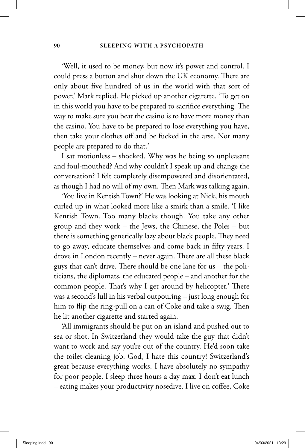'Well, it used to be money, but now it's power and control. I could press a button and shut down the UK economy. There are only about five hundred of us in the world with that sort of power,' Mark replied. He picked up another cigarette. 'To get on in this world you have to be prepared to sacrifice everything. The way to make sure you beat the casino is to have more money than the casino. You have to be prepared to lose everything you have, then take your clothes off and be fucked in the arse. Not many people are prepared to do that.'

I sat motionless – shocked. Why was he being so unpleasant and foul-mouthed? And why couldn't I speak up and change the conversation? I felt completely disempowered and disorientated, as though I had no will of my own. Then Mark was talking again.

'You live in Kentish Town?' He was looking at Nick, his mouth curled up in what looked more like a smirk than a smile. 'I like Kentish Town. Too many blacks though. You take any other group and they work – the Jews, the Chinese, the Poles – but there is something genetically lazy about black people. They need to go away, educate themselves and come back in fifty years. I drove in London recently – never again. There are all these black guys that can't drive. There should be one lane for us – the politicians, the diplomats, the educated people – and another for the common people. That's why I get around by helicopter.' There was a second's lull in his verbal outpouring – just long enough for him to flip the ring-pull on a can of Coke and take a swig. Then he lit another cigarette and started again.

'All immigrants should be put on an island and pushed out to sea or shot. In Switzerland they would take the guy that didn't want to work and say you're out of the country. He'd soon take the toilet-cleaning job. God, I hate this country! Switzerland's great because everything works. I have absolutely no sympathy for poor people. I sleep three hours a day max. I don't eat lunch – eating makes your productivity nosedive. I live on coffee, Coke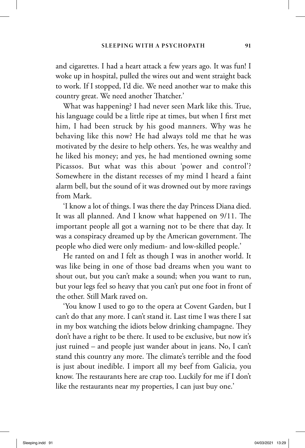and cigarettes. I had a heart attack a few years ago. It was fun! I woke up in hospital, pulled the wires out and went straight back to work. If I stopped, I'd die. We need another war to make this country great. We need another Thatcher.'

What was happening? I had never seen Mark like this. True, his language could be a little ripe at times, but when I first met him, I had been struck by his good manners. Why was he behaving like this now? He had always told me that he was motivated by the desire to help others. Yes, he was wealthy and he liked his money; and yes, he had mentioned owning some Picassos. But what was this about 'power and control'? Somewhere in the distant recesses of my mind I heard a faint alarm bell, but the sound of it was drowned out by more ravings from Mark.

'I know a lot of things. I was there the day Princess Diana died. It was all planned. And I know what happened on 9/11. The important people all got a warning not to be there that day. It was a conspiracy dreamed up by the American government. The people who died were only medium- and low-skilled people.'

He ranted on and I felt as though I was in another world. It was like being in one of those bad dreams when you want to shout out, but you can't make a sound; when you want to run, but your legs feel so heavy that you can't put one foot in front of the other. Still Mark raved on.

'You know I used to go to the opera at Covent Garden, but I can't do that any more. I can't stand it. Last time I was there I sat in my box watching the idiots below drinking champagne. They don't have a right to be there. It used to be exclusive, but now it's just ruined – and people just wander about in jeans. No, I can't stand this country any more. The climate's terrible and the food is just about inedible. I import all my beef from Galicia, you know. The restaurants here are crap too. Luckily for me if I don't like the restaurants near my properties, I can just buy one.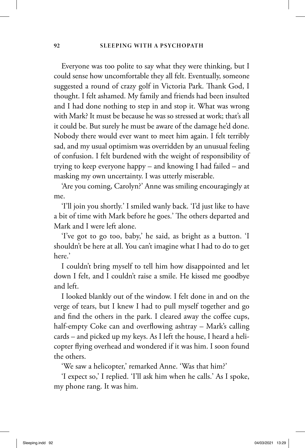## 92 **SLEEPING WITH A PSYCHOPATH**

Everyone was too polite to say what they were thinking, but I could sense how uncomfortable they all felt. Eventually, someone suggested a round of crazy golf in Victoria Park. Thank God, I thought. I felt ashamed. My family and friends had been insulted and I had done nothing to step in and stop it. What was wrong with Mark? It must be because he was so stressed at work; that's all it could be. But surely he must be aware of the damage he'd done. Nobody there would ever want to meet him again. I felt terribly sad, and my usual optimism was overridden by an unusual feeling of confusion. I felt burdened with the weight of responsibility of trying to keep everyone happy – and knowing I had failed – and masking my own uncertainty. I was utterly miserable.

'Are you coming, Carolyn?' Anne was smiling encouragingly at me.

'I'll join you shortly.' I smiled wanly back. 'I'd just like to have a bit of time with Mark before he goes.' The others departed and Mark and I were left alone.

'I've got to go too, baby,' he said, as bright as a button. 'I shouldn't be here at all. You can't imagine what I had to do to get here.'

I couldn't bring myself to tell him how disappointed and let down I felt, and I couldn't raise a smile. He kissed me goodbye and left.

I looked blankly out of the window. I felt done in and on the verge of tears, but I knew I had to pull myself together and go and find the others in the park. I cleared away the coffee cups, half-empty Coke can and overflowing ashtray – Mark's calling cards – and picked up my keys. As I left the house, I heard a helicopter flying overhead and wondered if it was him. I soon found the others.

'We saw a helicopter,' remarked Anne. 'Was that him?'

'I expect so,' I replied. 'I'll ask him when he calls.' As I spoke, my phone rang. It was him.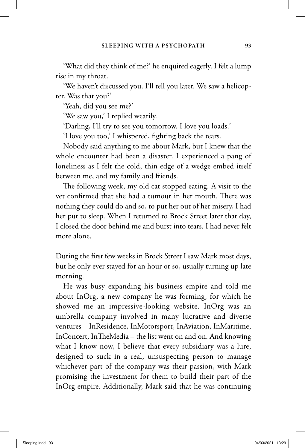'What did they think of me?' he enquired eagerly. I felt a lump rise in my throat.

'We haven't discussed you. I'll tell you later. We saw a helicopter. Was that you?'

'Yeah, did you see me?'

'We saw you,' I replied wearily.

'Darling, I'll try to see you tomorrow. I love you loads.'

'I love you too,' I whispered, fighting back the tears.

Nobody said anything to me about Mark, but I knew that the whole encounter had been a disaster. I experienced a pang of loneliness as I felt the cold, thin edge of a wedge embed itself between me, and my family and friends.

The following week, my old cat stopped eating. A visit to the vet confirmed that she had a tumour in her mouth. There was nothing they could do and so, to put her out of her misery, I had her put to sleep. When I returned to Brock Street later that day, I closed the door behind me and burst into tears. I had never felt more alone.

During the first few weeks in Brock Street I saw Mark most days, but he only ever stayed for an hour or so, usually turning up late morning.

He was busy expanding his business empire and told me about InOrg, a new company he was forming, for which he showed me an impressive-looking website. InOrg was an umbrella company involved in many lucrative and diverse ventures – InResidence, InMotorsport, InAviation, InMaritime, InConcert, InTheMedia – the list went on and on. And knowing what I know now, I believe that every subsidiary was a lure, designed to suck in a real, unsuspecting person to manage whichever part of the company was their passion, with Mark promising the investment for them to build their part of the InOrg empire. Additionally, Mark said that he was continuing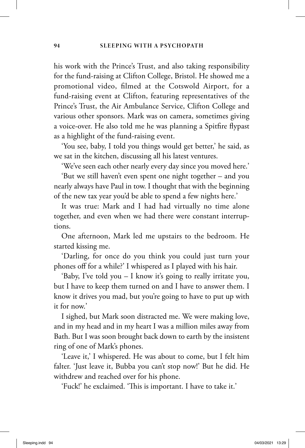his work with the Prince's Trust, and also taking responsibility for the fund-raising at Clifton College, Bristol. He showed me a promotional video, filmed at the Cotswold Airport, for a fund-raising event at Clifton, featuring representatives of the Prince's Trust, the Air Ambulance Service, Clifton College and various other sponsors. Mark was on camera, sometimes giving a voice-over. He also told me he was planning a Spitfire flypast as a highlight of the fund-raising event.

'You see, baby, I told you things would get better,' he said, as we sat in the kitchen, discussing all his latest ventures.

'We've seen each other nearly every day since you moved here.'

'But we still haven't even spent one night together – and you nearly always have Paul in tow. I thought that with the beginning of the new tax year you'd be able to spend a few nights here.'

It was true: Mark and I had had virtually no time alone together, and even when we had there were constant interruptions.

One afternoon, Mark led me upstairs to the bedroom. He started kissing me.

'Darling, for once do you think you could just turn your phones off for a while?' I whispered as I played with his hair.

'Baby, I've told you – I know it's going to really irritate you, but I have to keep them turned on and I have to answer them. I know it drives you mad, but you're going to have to put up with it for now.'

I sighed, but Mark soon distracted me. We were making love, and in my head and in my heart I was a million miles away from Bath. But I was soon brought back down to earth by the insistent ring of one of Mark's phones.

'Leave it,' I whispered. He was about to come, but I felt him falter. 'Just leave it, Bubba you can't stop now!' But he did. He withdrew and reached over for his phone.

'Fuck!' he exclaimed. 'This is important. I have to take it.'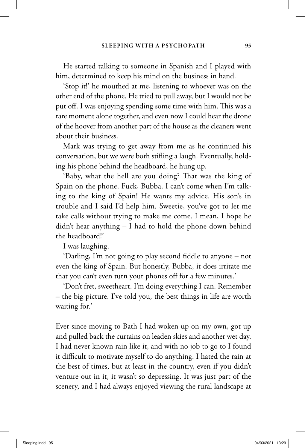He started talking to someone in Spanish and I played with him, determined to keep his mind on the business in hand.

'Stop it!' he mouthed at me, listening to whoever was on the other end of the phone. He tried to pull away, but I would not be put off. I was enjoying spending some time with him. This was a rare moment alone together, and even now I could hear the drone of the hoover from another part of the house as the cleaners went about their business.

Mark was trying to get away from me as he continued his conversation, but we were both stifling a laugh. Eventually, holding his phone behind the headboard, he hung up.

'Baby, what the hell are you doing? That was the king of Spain on the phone. Fuck, Bubba. I can't come when I'm talking to the king of Spain! He wants my advice. His son's in trouble and I said I'd help him. Sweetie, you've got to let me take calls without trying to make me come. I mean, I hope he didn't hear anything – I had to hold the phone down behind the headboard!'

I was laughing.

'Darling, I'm not going to play second fiddle to anyone – not even the king of Spain. But honestly, Bubba, it does irritate me that you can't even turn your phones off for a few minutes.'

'Don't fret, sweetheart. I'm doing everything I can. Remember – the big picture. I've told you, the best things in life are worth waiting for.'

Ever since moving to Bath I had woken up on my own, got up and pulled back the curtains on leaden skies and another wet day. I had never known rain like it, and with no job to go to I found it difficult to motivate myself to do anything. I hated the rain at the best of times, but at least in the country, even if you didn't venture out in it, it wasn't so depressing. It was just part of the scenery, and I had always enjoyed viewing the rural landscape at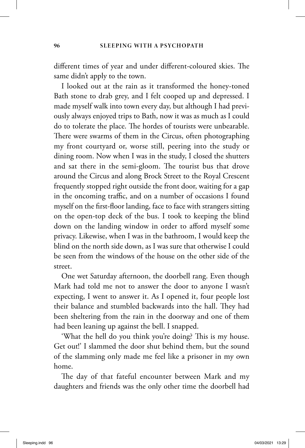different times of year and under different-coloured skies. The same didn't apply to the town.

I looked out at the rain as it transformed the honey-toned Bath stone to drab grey, and I felt cooped up and depressed. I made myself walk into town every day, but although I had previously always enjoyed trips to Bath, now it was as much as I could do to tolerate the place. The hordes of tourists were unbearable. There were swarms of them in the Circus, often photographing my front courtyard or, worse still, peering into the study or dining room. Now when I was in the study, I closed the shutters and sat there in the semi-gloom. The tourist bus that drove around the Circus and along Brock Street to the Royal Crescent frequently stopped right outside the front door, waiting for a gap in the oncoming traffic, and on a number of occasions I found myself on the first-floor landing, face to face with strangers sitting on the open-top deck of the bus. I took to keeping the blind down on the landing window in order to afford myself some privacy. Likewise, when I was in the bathroom, I would keep the blind on the north side down, as I was sure that otherwise I could be seen from the windows of the house on the other side of the street.

One wet Saturday afternoon, the doorbell rang. Even though Mark had told me not to answer the door to anyone I wasn't expecting, I went to answer it. As I opened it, four people lost their balance and stumbled backwards into the hall. They had been sheltering from the rain in the doorway and one of them had been leaning up against the bell. I snapped.

'What the hell do you think you're doing? This is my house. Get out!' I slammed the door shut behind them, but the sound of the slamming only made me feel like a prisoner in my own home.

The day of that fateful encounter between Mark and my daughters and friends was the only other time the doorbell had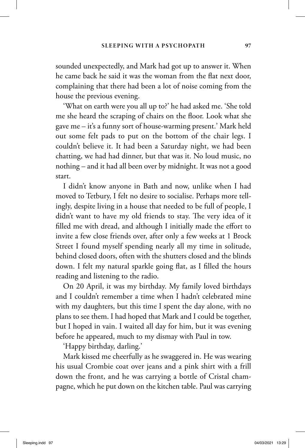sounded unexpectedly, and Mark had got up to answer it. When he came back he said it was the woman from the flat next door, complaining that there had been a lot of noise coming from the house the previous evening.

'What on earth were you all up to?' he had asked me. 'She told me she heard the scraping of chairs on the floor. Look what she gave me – it's a funny sort of house-warming present.' Mark held out some felt pads to put on the bottom of the chair legs. I couldn't believe it. It had been a Saturday night, we had been chatting, we had had dinner, but that was it. No loud music, no nothing – and it had all been over by midnight. It was not a good start.

I didn't know anyone in Bath and now, unlike when I had moved to Tetbury, I felt no desire to socialise. Perhaps more tellingly, despite living in a house that needed to be full of people, I didn't want to have my old friends to stay. The very idea of it filled me with dread, and although I initially made the effort to invite a few close friends over, after only a few weeks at 1 Brock Street I found myself spending nearly all my time in solitude, behind closed doors, often with the shutters closed and the blinds down. I felt my natural sparkle going flat, as I filled the hours reading and listening to the radio.

On 20 April, it was my birthday. My family loved birthdays and I couldn't remember a time when I hadn't celebrated mine with my daughters, but this time I spent the day alone, with no plans to see them. I had hoped that Mark and I could be together, but I hoped in vain. I waited all day for him, but it was evening before he appeared, much to my dismay with Paul in tow.

'Happy birthday, darling.'

Mark kissed me cheerfully as he swaggered in. He was wearing his usual Crombie coat over jeans and a pink shirt with a frill down the front, and he was carrying a bottle of Cristal champagne, which he put down on the kitchen table. Paul was carrying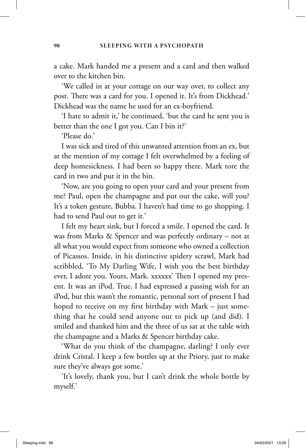a cake. Mark handed me a present and a card and then walked over to the kitchen bin.

'We called in at your cottage on our way over, to collect any post. There was a card for you. I opened it. It's from Dickhead.' Dickhead was the name he used for an ex-boyfriend.

'I hate to admit it,' he continued, 'but the card he sent you is better than the one I got you. Can I bin it?'

'Please do.'

I was sick and tired of this unwanted attention from an ex, but at the mention of my cottage I felt overwhelmed by a feeling of deep homesickness. I had been so happy there. Mark tore the card in two and put it in the bin.

'Now, are you going to open your card and your present from me? Paul, open the champagne and put out the cake, will you? It's a token gesture, Bubba. I haven't had time to go shopping. I had to send Paul out to get it.'

I felt my heart sink, but I forced a smile. I opened the card. It was from Marks & Spencer and was perfectly ordinary – not at all what you would expect from someone who owned a collection of Picassos. Inside, in his distinctive spidery scrawl, Mark had scribbled, 'To My Darling Wife, I wish you the best birthday ever, I adore you. Yours, Mark. xxxxxx' Then I opened my present. It was an iPod. True, I had expressed a passing wish for an iPod, but this wasn't the romantic, personal sort of present I had hoped to receive on my first birthday with Mark  $-$  just something that he could send anyone out to pick up (and did). I smiled and thanked him and the three of us sat at the table with the champagne and a Marks & Spencer birthday cake.

'What do you think of the champagne, darling? I only ever drink Cristal. I keep a few bottles up at the Priory, just to make sure they've always got some.'

'It's lovely, thank you, but I can't drink the whole bottle by myself.'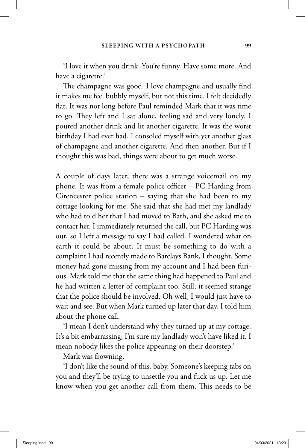'I love it when you drink. You're funny. Have some more. And have a cigarette.'

The champagne was good. I love champagne and usually find it makes me feel bubbly myself, but not this time. I felt decidedly flat. It was not long before Paul reminded Mark that it was time to go. They left and I sat alone, feeling sad and very lonely. I poured another drink and lit another cigarette. It was the worst birthday I had ever had. I consoled myself with yet another glass of champagne and another cigarette. And then another. But if I thought this was bad, things were about to get much worse.

A couple of days later, there was a strange voicemail on my phone. It was from a female police officer  $- PC$  Harding from Cirencester police station – saying that she had been to my cottage looking for me. She said that she had met my landlady who had told her that I had moved to Bath, and she asked me to contact her. I immediately returned the call, but PC Harding was out, so I left a message to say I had called. I wondered what on earth it could be about. It must be something to do with a complaint I had recently made to Barclays Bank, I thought. Some money had gone missing from my account and I had been furious. Mark told me that the same thing had happened to Paul and he had written a letter of complaint too. Still, it seemed strange that the police should be involved. Oh well, I would just have to wait and see. But when Mark turned up later that day, I told him about the phone call.

'I mean I don't understand why they turned up at my cottage. It's a bit embarrassing; I'm sure my landlady won't have liked it. I mean nobody likes the police appearing on their doorstep.'

Mark was frowning.

'I don't like the sound of this, baby. Someone's keeping tabs on you and they'll be trying to unsettle you and fuck us up. Let me know when you get another call from them. This needs to be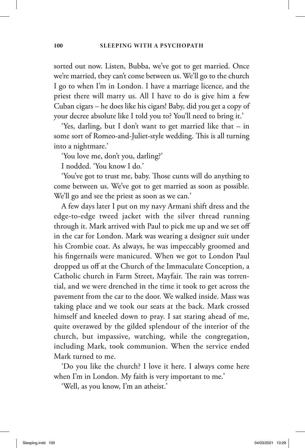sorted out now. Listen, Bubba, we've got to get married. Once we're married, they can't come between us. We'll go to the church I go to when I'm in London. I have a marriage licence, and the priest there will marry us. All I have to do is give him a few Cuban cigars – he does like his cigars! Baby, did you get a copy of your decree absolute like I told you to? You'll need to bring it.'

'Yes, darling, but I don't want to get married like that – in some sort of Romeo-and-Juliet-style wedding. This is all turning into a nightmare.'

'You love me, don't you, darling?'

I nodded. 'You know I do.'

'You've got to trust me, baby. Those cunts will do anything to come between us. We've got to get married as soon as possible. We'll go and see the priest as soon as we can.'

A few days later I put on my navy Armani shift dress and the edge-to-edge tweed jacket with the silver thread running through it. Mark arrived with Paul to pick me up and we set off in the car for London. Mark was wearing a designer suit under his Crombie coat. As always, he was impeccably groomed and his fingernails were manicured. When we got to London Paul dropped us off at the Church of the Immaculate Conception, a Catholic church in Farm Street, Mayfair. The rain was torrential, and we were drenched in the time it took to get across the pavement from the car to the door. We walked inside. Mass was taking place and we took our seats at the back. Mark crossed himself and kneeled down to pray. I sat staring ahead of me, quite overawed by the gilded splendour of the interior of the church, but impassive, watching, while the congregation, including Mark, took communion. When the service ended Mark turned to me.

'Do you like the church? I love it here. I always come here when I'm in London. My faith is very important to me.'

'Well, as you know, I'm an atheist.'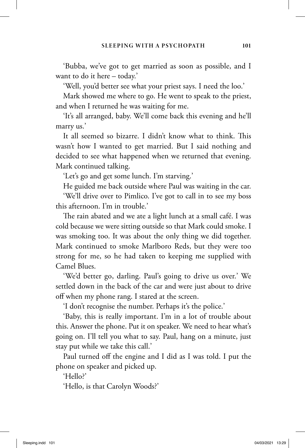'Bubba, we've got to get married as soon as possible, and I want to do it here – today.'

'Well, you'd better see what your priest says. I need the loo.'

Mark showed me where to go. He went to speak to the priest, and when I returned he was waiting for me.

'It's all arranged, baby. We'll come back this evening and he'll marry us.'

It all seemed so bizarre. I didn't know what to think. This wasn't how I wanted to get married. But I said nothing and decided to see what happened when we returned that evening. Mark continued talking.

'Let's go and get some lunch. I'm starving.'

He guided me back outside where Paul was waiting in the car. 'We'll drive over to Pimlico. I've got to call in to see my boss this afternoon. I'm in trouble.'

The rain abated and we ate a light lunch at a small café. I was cold because we were sitting outside so that Mark could smoke. I was smoking too. It was about the only thing we did together. Mark continued to smoke Marlboro Reds, but they were too strong for me, so he had taken to keeping me supplied with Camel Blues.

'We'd better go, darling. Paul's going to drive us over.' We settled down in the back of the car and were just about to drive off when my phone rang. I stared at the screen.

'I don't recognise the number. Perhaps it's the police.'

'Baby, this is really important. I'm in a lot of trouble about this. Answer the phone. Put it on speaker. We need to hear what's going on. I'll tell you what to say. Paul, hang on a minute, just stay put while we take this call.'

Paul turned off the engine and I did as I was told. I put the phone on speaker and picked up.

'Hello?'

'Hello, is that Carolyn Woods?'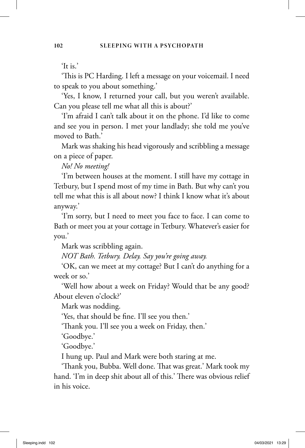## 'It is.'

'This is PC Harding. I left a message on your voicemail. I need to speak to you about something.'

'Yes, I know, I returned your call, but you weren't available. Can you please tell me what all this is about?'

'I'm afraid I can't talk about it on the phone. I'd like to come and see you in person. I met your landlady; she told me you've moved to Bath.'

Mark was shaking his head vigorously and scribbling a message on a piece of paper.

*No! No meeting!*

'I'm between houses at the moment. I still have my cottage in Tetbury, but I spend most of my time in Bath. But why can't you tell me what this is all about now? I think I know what it's about anyway.'

'I'm sorry, but I need to meet you face to face. I can come to Bath or meet you at your cottage in Tetbury. Whatever's easier for you.'

Mark was scribbling again.

*NOT Bath. Tetbury. Delay. Say you're going away.*

'OK, can we meet at my cottage? But I can't do anything for a week or so.'

'Well how about a week on Friday? Would that be any good? About eleven o'clock?'

Mark was nodding.

'Yes, that should be fine. I'll see you then.'

'Thank you. I'll see you a week on Friday, then.'

'Goodbye.'

'Goodbye.'

I hung up. Paul and Mark were both staring at me.

'Thank you, Bubba. Well done. That was great.' Mark took my hand. 'I'm in deep shit about all of this.' There was obvious relief in his voice.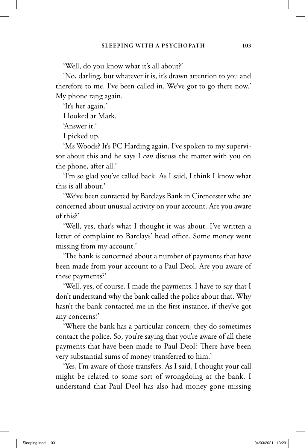'Well, do you know what it's all about?'

'No, darling, but whatever it is, it's drawn attention to you and therefore to me. I've been called in. We've got to go there now.' My phone rang again.

'It's her again.'

I looked at Mark.

'Answer it.'

I picked up.

'Ms Woods? It's PC Harding again. I've spoken to my supervisor about this and he says I *can* discuss the matter with you on the phone, after all.'

'I'm so glad you've called back. As I said, I think I know what this is all about.'

'We've been contacted by Barclays Bank in Cirencester who are concerned about unusual activity on your account. Are you aware of this?'

'Well, yes, that's what I thought it was about. I've written a letter of complaint to Barclays' head office. Some money went missing from my account.'

The bank is concerned about a number of payments that have been made from your account to a Paul Deol. Are you aware of these payments?'

'Well, yes, of course. I made the payments. I have to say that I don't understand why the bank called the police about that. Why hasn't the bank contacted me in the first instance, if they've got any concerns?'

'Where the bank has a particular concern, they do sometimes contact the police. So, you're saying that you're aware of all these payments that have been made to Paul Deol? There have been very substantial sums of money transferred to him.'

'Yes, I'm aware of those transfers. As I said, I thought your call might be related to some sort of wrongdoing at the bank. I understand that Paul Deol has also had money gone missing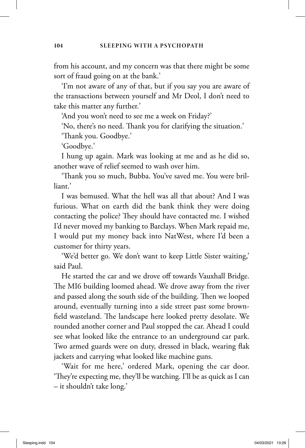from his account, and my concern was that there might be some sort of fraud going on at the bank.'

'I'm not aware of any of that, but if you say you are aware of the transactions between yourself and Mr Deol, I don't need to take this matter any further.'

'And you won't need to see me a week on Friday?'

'No, there's no need. Thank you for clarifying the situation.'

'Thank you. Goodbye.'

'Goodbye.'

I hung up again. Mark was looking at me and as he did so, another wave of relief seemed to wash over him.

'Thank you so much, Bubba. You've saved me. You were brilliant.'

I was bemused. What the hell was all that about? And I was furious. What on earth did the bank think they were doing contacting the police? They should have contacted me. I wished I'd never moved my banking to Barclays. When Mark repaid me, I would put my money back into NatWest, where I'd been a customer for thirty years.

'We'd better go. We don't want to keep Little Sister waiting,' said Paul.

He started the car and we drove off towards Vauxhall Bridge. The MI6 building loomed ahead. We drove away from the river and passed along the south side of the building. Then we looped around, eventually turning into a side street past some brownfield wasteland. The landscape here looked pretty desolate. We rounded another corner and Paul stopped the car. Ahead I could see what looked like the entrance to an underground car park. Two armed guards were on duty, dressed in black, wearing flak jackets and carrying what looked like machine guns.

'Wait for me here,' ordered Mark, opening the car door. 'They're expecting me, they'll be watching. I'll be as quick as I can – it shouldn't take long.'

Sleeping.indd 104 leeping.indd 04/03/2021 13:29 4/03/2021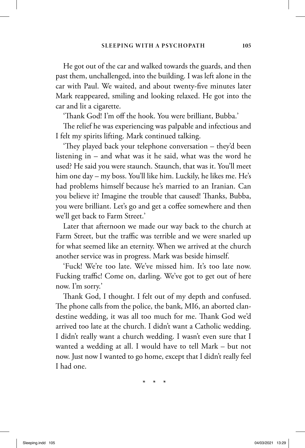He got out of the car and walked towards the guards, and then past them, unchallenged, into the building. I was left alone in the car with Paul. We waited, and about twenty-five minutes later Mark reappeared, smiling and looking relaxed. He got into the car and lit a cigarette.

'Thank God! I'm off the hook. You were brilliant, Bubba.'

The relief he was experiencing was palpable and infectious and I felt my spirits lifting. Mark continued talking.

'They played back your telephone conversation – they'd been listening in – and what was it he said, what was the word he used? He said you were staunch. Staunch, that was it. You'll meet him one day – my boss. You'll like him. Luckily, he likes me. He's had problems himself because he's married to an Iranian. Can you believe it? Imagine the trouble that caused! Thanks, Bubba, you were brilliant. Let's go and get a coffee somewhere and then we'll get back to Farm Street.'

Later that afternoon we made our way back to the church at Farm Street, but the traffic was terrible and we were snarled up for what seemed like an eternity. When we arrived at the church another service was in progress. Mark was beside himself.

'Fuck! We're too late. We've missed him. It's too late now. Fucking traffic! Come on, darling. We've got to get out of here now. I'm sorry.'

Thank God, I thought. I felt out of my depth and confused. The phone calls from the police, the bank, MI6, an aborted clandestine wedding, it was all too much for me. Thank God we'd arrived too late at the church. I didn't want a Catholic wedding. I didn't really want a church wedding. I wasn't even sure that I wanted a wedding at all. I would have to tell Mark – but not now. Just now I wanted to go home, except that I didn't really feel I had one.

*\*\*\**